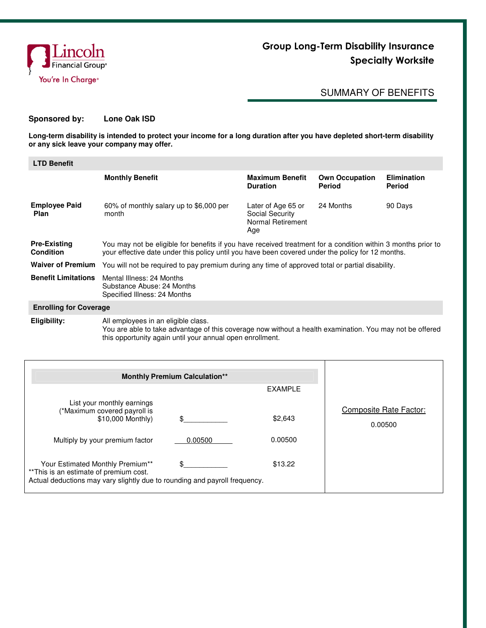

## Group Long-Term Disability Insurance Specialty Worksite

## SUMMARY OF BENEFITS

## **Sponsored by: Lone Oak ISD**

**Long-term disability is intended to protect your income for a long duration after you have depleted short-term disability or any sick leave your company may offer.** 

| <b>LTD Benefit</b>                      |                                                                                                                                                                                                                   |                                                                   |                                 |                                     |  |
|-----------------------------------------|-------------------------------------------------------------------------------------------------------------------------------------------------------------------------------------------------------------------|-------------------------------------------------------------------|---------------------------------|-------------------------------------|--|
|                                         | <b>Monthly Benefit</b>                                                                                                                                                                                            | <b>Maximum Benefit</b><br><b>Duration</b>                         | <b>Own Occupation</b><br>Period | <b>Elimination</b><br><b>Period</b> |  |
| <b>Employee Paid</b><br><b>Plan</b>     | 60% of monthly salary up to \$6,000 per<br>month                                                                                                                                                                  | Later of Age 65 or<br>Social Security<br>Normal Retirement<br>Age | 24 Months                       | 90 Days                             |  |
| <b>Pre-Existing</b><br><b>Condition</b> | You may not be eligible for benefits if you have received treatment for a condition within 3 months prior to<br>your effective date under this policy until you have been covered under the policy for 12 months. |                                                                   |                                 |                                     |  |
| <b>Waiver of Premium</b>                | You will not be required to pay premium during any time of approved total or partial disability.                                                                                                                  |                                                                   |                                 |                                     |  |
| <b>Benefit Limitations</b>              | Mental Illness: 24 Months<br>Substance Abuse: 24 Months<br>Specified Illness: 24 Months                                                                                                                           |                                                                   |                                 |                                     |  |
| <b>Enrolling for Coverage</b>           |                                                                                                                                                                                                                   |                                                                   |                                 |                                     |  |
| Eligibility:                            | All employees in an eligible class.<br>You are able to take advantage of this coverage now without a health examination. You may not be offered<br>this opportunity again until your annual open enrollment.      |                                                                   |                                 |                                     |  |

| <b>Monthly Premium Calculation**</b>                                                                                                                                                                                                                                            |                       |                               |                                   |
|---------------------------------------------------------------------------------------------------------------------------------------------------------------------------------------------------------------------------------------------------------------------------------|-----------------------|-------------------------------|-----------------------------------|
|                                                                                                                                                                                                                                                                                 |                       | <b>EXAMPLE</b>                |                                   |
| List your monthly earnings<br>(*Maximum covered payroll is<br>\$10,000 Monthly)<br>Multiply by your premium factor<br>Your Estimated Monthly Premium**<br>** This is an estimate of premium cost.<br>Actual deductions may vary slightly due to rounding and payroll frequency. | \$.<br>0.00500<br>\$. | \$2,643<br>0.00500<br>\$13.22 | Composite Rate Factor:<br>0.00500 |